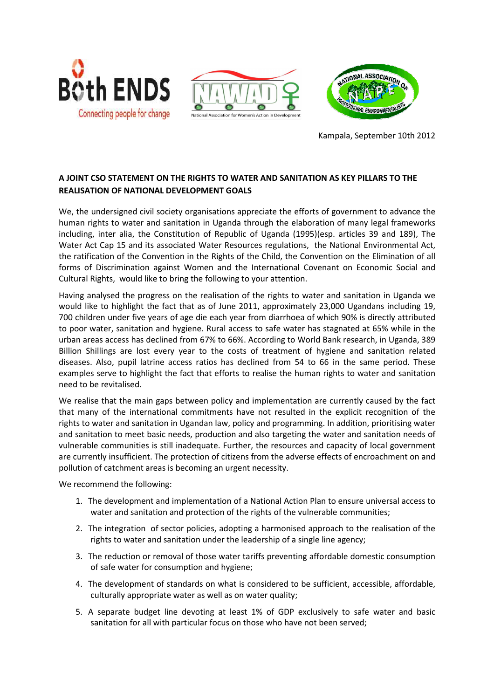





Kampala, September 10th 2012

## **A JOINT CSO STATEMENT ON THE RIGHTS TO WATER AND SANITATION AS KEY PILLARS TO THE REALISATION OF NATIONAL DEVELOPMENT GOALS**

We, the undersigned civil society organisations appreciate the efforts of government to advance the human rights to water and sanitation in Uganda through the elaboration of many legal frameworks including, inter alia, the Constitution of Republic of Uganda (1995)(esp. articles 39 and 189), The Water Act Cap 15 and its associated Water Resources regulations, the National Environmental Act, the ratification of the Convention in the Rights of the Child, the Convention on the Elimination of all forms of Discrimination against Women and the International Covenant on Economic Social and Cultural Rights, would like to bring the following to your attention.

Having analysed the progress on the realisation of the rights to water and sanitation in Uganda we would like to highlight the fact that as of June 2011, approximately 23,000 Ugandans including 19, 700 children under five years of age die each year from diarrhoea of which 90% is directly attributed to poor water, sanitation and hygiene. Rural access to safe water has stagnated at 65% while in the urban areas access has declined from 67% to 66%. According to World Bank research, in Uganda, 389 Billion Shillings are lost every year to the costs of treatment of hygiene and sanitation related diseases. Also, pupil latrine access ratios has declined from 54 to 66 in the same period. These examples serve to highlight the fact that efforts to realise the human rights to water and sanitation need to be revitalised.

We realise that the main gaps between policy and implementation are currently caused by the fact that many of the international commitments have not resulted in the explicit recognition of the rights to water and sanitation in Ugandan law, policy and programming. In addition, prioritising water and sanitation to meet basic needs, production and also targeting the water and sanitation needs of vulnerable communities is still inadequate. Further, the resources and capacity of local government are currently insufficient. The protection of citizens from the adverse effects of encroachment on and pollution of catchment areas is becoming an urgent necessity.

We recommend the following:

- 1. The development and implementation of a National Action Plan to ensure universal access to water and sanitation and protection of the rights of the vulnerable communities;
- 2. The integration of sector policies, adopting a harmonised approach to the realisation of the rights to water and sanitation under the leadership of a single line agency;
- 3. The reduction or removal of those water tariffs preventing affordable domestic consumption of safe water for consumption and hygiene;
- 4. The development of standards on what is considered to be sufficient, accessible, affordable, culturally appropriate water as well as on water quality;
- 5. A separate budget line devoting at least 1% of GDP exclusively to safe water and basic sanitation for all with particular focus on those who have not been served;